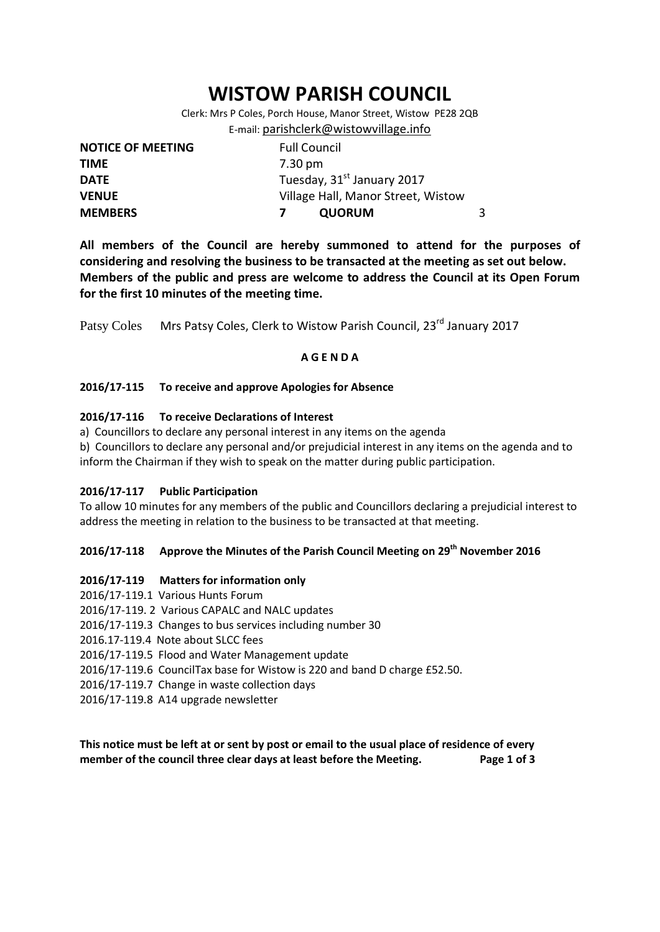# **WISTOW PARISH COUNCIL**

Clerk: Mrs P Coles, Porch House, Manor Street, Wistow PE28 2QB E-mail: [parishclerk@wistowvillage.info](mailto:parishclerk@wistowvillage.info)

| <b>NOTICE OF MEETING</b> | <b>Full Council</b>                    |   |
|--------------------------|----------------------------------------|---|
| <b>TIME</b>              | 7.30 pm                                |   |
| <b>DATE</b>              | Tuesday, 31 <sup>st</sup> January 2017 |   |
| <b>VENUE</b>             | Village Hall, Manor Street, Wistow     |   |
| <b>MEMBERS</b>           | <b>QUORUM</b>                          | 3 |

**All members of the Council are hereby summoned to attend for the purposes of considering and resolving the business to be transacted at the meeting as set out below. Members of the public and press are welcome to address the Council at its Open Forum for the first 10 minutes of the meeting time.**

Patsy Coles Mrs Patsy Coles, Clerk to Wistow Parish Council, 23<sup>rd</sup> January 2017

#### **A G E N D A**

#### **2016/17-115 To receive and approve Apologies for Absence**

#### **2016/17-116 To receive Declarations of Interest**

- a) Councillors to declare any personal interest in any items on the agenda
- b) Councillors to declare any personal and/or prejudicial interest in any items on the agenda and to inform the Chairman if they wish to speak on the matter during public participation.

#### **2016/17-117 Public Participation**

To allow 10 minutes for any members of the public and Councillors declaring a prejudicial interest to address the meeting in relation to the business to be transacted at that meeting.

# **2016/17-118 Approve the Minutes of the Parish Council Meeting on 29th November 2016**

#### **2016/17-119 Matters for information only**

2016/17-119.1 Various Hunts Forum 2016/17-119. 2 Various CAPALC and NALC updates 2016/17-119.3 Changes to bus services including number 30 2016.17-119.4 Note about SLCC fees 2016/17-119.5 Flood and Water Management update 2016/17-119.6 CouncilTax base for Wistow is 220 and band D charge £52.50. 2016/17-119.7 Change in waste collection days 2016/17-119.8 A14 upgrade newsletter

**This notice must be left at or sent by post or email to the usual place of residence of every member of the council three clear days at least before the Meeting. Page 1 of 3**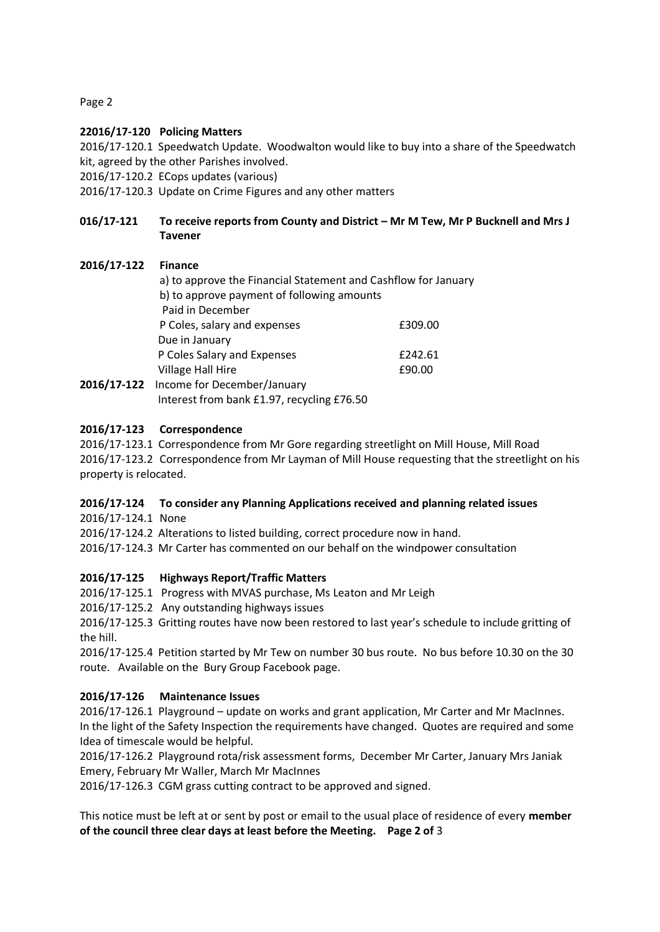Page 2

# **22016/17-120 Policing Matters**

2016/17-120.1 Speedwatch Update. Woodwalton would like to buy into a share of the Speedwatch kit, agreed by the other Parishes involved.

2016/17-120.2 ECops updates (various)

2016/17-120.3 Update on Crime Figures and any other matters

# **016/17-121 To receive reports from County and District – Mr M Tew, Mr P Bucknell and Mrs J Tavener**

# **2016/17-122 Finance**

a) to approve the Financial Statement and Cashflow for January b) to approve payment of following amounts Paid in December P Coles, salary and expenses E309.00 Due in January P Coles Salary and Expenses **E242.61** Village Hall Hire **E90.00 2016/17-122** Income for December/January Interest from bank £1.97, recycling £76.50

#### **2016/17-123 Correspondence**

2016/17-123.1 Correspondence from Mr Gore regarding streetlight on Mill House, Mill Road 2016/17-123.2 Correspondence from Mr Layman of Mill House requesting that the streetlight on his property is relocated.

# **2016/17-124 To consider any Planning Applications received and planning related issues**

2016/17-124.1 None

2016/17-124.2 Alterations to listed building, correct procedure now in hand.

2016/17-124.3 Mr Carter has commented on our behalf on the windpower consultation

# **2016/17-125 Highways Report/Traffic Matters**

2016/17-125.1 Progress with MVAS purchase, Ms Leaton and Mr Leigh

2016/17-125.2 Any outstanding highways issues

2016/17-125.3 Gritting routes have now been restored to last year's schedule to include gritting of the hill.

2016/17-125.4 Petition started by Mr Tew on number 30 bus route. No bus before 10.30 on the 30 route. Available on the Bury Group Facebook page.

# **2016/17-126 Maintenance Issues**

2016/17-126.1 Playground – update on works and grant application, Mr Carter and Mr MacInnes. In the light of the Safety Inspection the requirements have changed. Quotes are required and some Idea of timescale would be helpful.

2016/17-126.2 Playground rota/risk assessment forms, December Mr Carter, January Mrs Janiak Emery, February Mr Waller, March Mr MacInnes

2016/17-126.3 CGM grass cutting contract to be approved and signed.

This notice must be left at or sent by post or email to the usual place of residence of every **member of the council three clear days at least before the Meeting. Page 2 of** 3